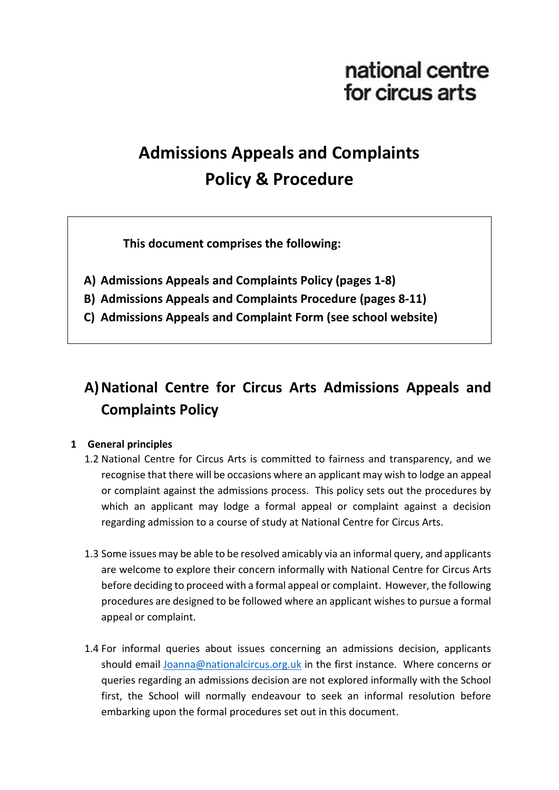# national centre for circus arts

# **Admissions Appeals and Complaints Policy & Procedure**

**This document comprises the following:**

- **A) Admissions Appeals and Complaints Policy (pages 1-8)**
- **B) Admissions Appeals and Complaints Procedure (pages 8-11)**
- **C) Admissions Appeals and Complaint Form (see school website)**

# **A)National Centre for Circus Arts Admissions Appeals and Complaints Policy**

## **1 General principles**

- 1.2 National Centre for Circus Arts is committed to fairness and transparency, and we recognise that there will be occasions where an applicant may wish to lodge an appeal or complaint against the admissions process. This policy sets out the procedures by which an applicant may lodge a formal appeal or complaint against a decision regarding admission to a course of study at National Centre for Circus Arts.
- 1.3 Some issues may be able to be resolved amicably via an informal query, and applicants are welcome to explore their concern informally with National Centre for Circus Arts before deciding to proceed with a formal appeal or complaint. However, the following procedures are designed to be followed where an applicant wishes to pursue a formal appeal or complaint.
- 1.4 For informal queries about issues concerning an admissions decision, applicants should email [Joanna@nationalcircus.org.uk](mailto:Joanna@nationalcircus.org.uk) in the first instance. Where concerns or queries regarding an admissions decision are not explored informally with the School first, the School will normally endeavour to seek an informal resolution before embarking upon the formal procedures set out in this document.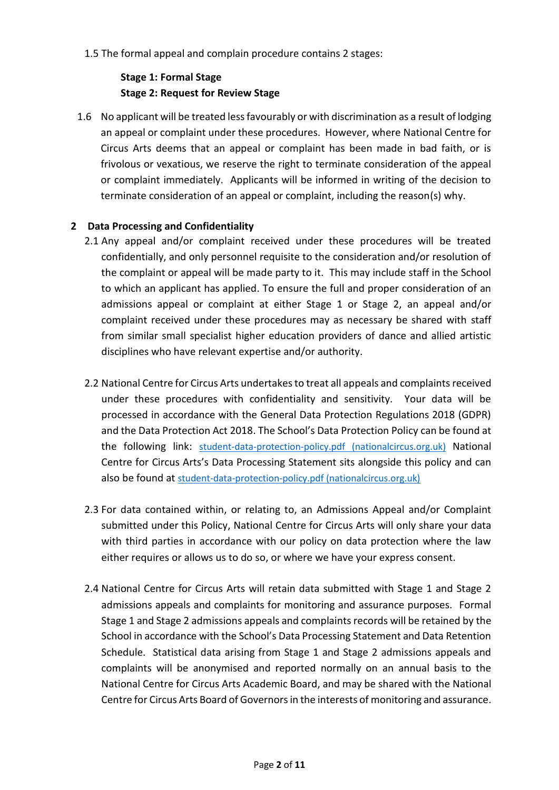1.5 The formal appeal and complain procedure contains 2 stages:

# **Stage 1: Formal Stage Stage 2: Request for Review Stage**

1.6 No applicant will be treated less favourably or with discrimination as a result of lodging an appeal or complaint under these procedures. However, where National Centre for Circus Arts deems that an appeal or complaint has been made in bad faith, or is frivolous or vexatious, we reserve the right to terminate consideration of the appeal or complaint immediately. Applicants will be informed in writing of the decision to terminate consideration of an appeal or complaint, including the reason(s) why.

# **2 Data Processing and Confidentiality**

- 2.1 Any appeal and/or complaint received under these procedures will be treated confidentially, and only personnel requisite to the consideration and/or resolution of the complaint or appeal will be made party to it. This may include staff in the School to which an applicant has applied. To ensure the full and proper consideration of an admissions appeal or complaint at either Stage 1 or Stage 2, an appeal and/or complaint received under these procedures may as necessary be shared with staff from similar small specialist higher education providers of dance and allied artistic disciplines who have relevant expertise and/or authority.
- 2.2 National Centre for Circus Arts undertakesto treat all appeals and complaints received under these procedures with confidentiality and sensitivity. Your data will be processed in accordance with the General Data Protection Regulations 2018 (GDPR) and the Data Protection Act 2018. The School's Data Protection Policy can be found at the following link: [student-data-protection-policy.pdf \(nationalcircus.org.uk\)](https://www.nationalcircus.org.uk/app/uploads/2021/08/student-data-protection-policy.pdf) National Centre for Circus Arts's Data Processing Statement sits alongside this policy and can also be found at [student-data-protection-policy.pdf \(nationalcircus.org.uk\)](https://www.nationalcircus.org.uk/app/uploads/2021/08/student-data-protection-policy.pdf)
- 2.3 For data contained within, or relating to, an Admissions Appeal and/or Complaint submitted under this Policy, National Centre for Circus Arts will only share your data with third parties in accordance with our policy on data protection where the law either requires or allows us to do so, or where we have your express consent.
- 2.4 National Centre for Circus Arts will retain data submitted with Stage 1 and Stage 2 admissions appeals and complaints for monitoring and assurance purposes. Formal Stage 1 and Stage 2 admissions appeals and complaints records will be retained by the School in accordance with the School's Data Processing Statement and Data Retention Schedule. Statistical data arising from Stage 1 and Stage 2 admissions appeals and complaints will be anonymised and reported normally on an annual basis to the National Centre for Circus Arts Academic Board, and may be shared with the National Centre for Circus Arts Board of Governorsin the interests of monitoring and assurance.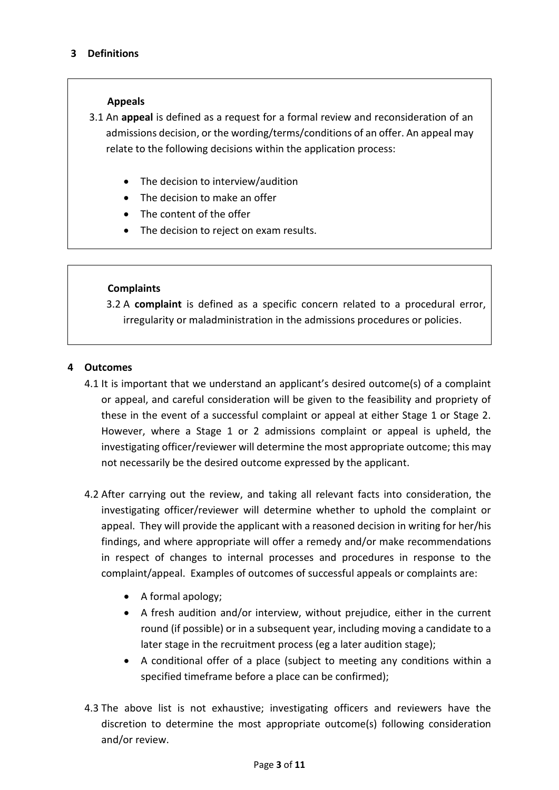#### **Appeals**

3.1 An **appeal** is defined as a request for a formal review and reconsideration of an admissions decision, or the wording/terms/conditions of an offer. An appeal may relate to the following decisions within the application process:

- The decision to interview/audition
- The decision to make an offer
- The content of the offer
- The decision to reject on exam results.

#### **Complaints**

3.2 A **complaint** is defined as a specific concern related to a procedural error, irregularity or maladministration in the admissions procedures or policies.

#### **4 Outcomes**

- 4.1 It is important that we understand an applicant's desired outcome(s) of a complaint or appeal, and careful consideration will be given to the feasibility and propriety of these in the event of a successful complaint or appeal at either Stage 1 or Stage 2. However, where a Stage 1 or 2 admissions complaint or appeal is upheld, the investigating officer/reviewer will determine the most appropriate outcome; this may not necessarily be the desired outcome expressed by the applicant.
- 4.2 After carrying out the review, and taking all relevant facts into consideration, the investigating officer/reviewer will determine whether to uphold the complaint or appeal. They will provide the applicant with a reasoned decision in writing for her/his findings, and where appropriate will offer a remedy and/or make recommendations in respect of changes to internal processes and procedures in response to the complaint/appeal. Examples of outcomes of successful appeals or complaints are:
	- A formal apology;
	- A fresh audition and/or interview, without prejudice, either in the current round (if possible) or in a subsequent year, including moving a candidate to a later stage in the recruitment process (eg a later audition stage);
	- A conditional offer of a place (subject to meeting any conditions within a specified timeframe before a place can be confirmed);
- 4.3 The above list is not exhaustive; investigating officers and reviewers have the discretion to determine the most appropriate outcome(s) following consideration and/or review.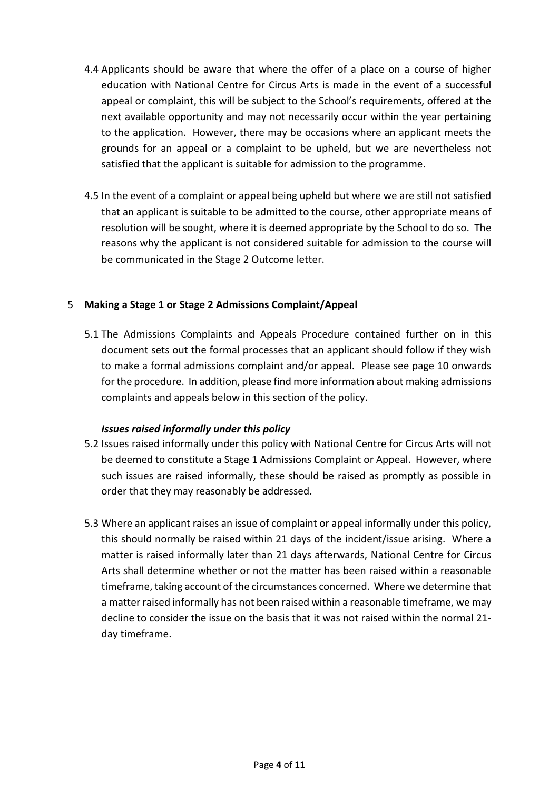- 4.4 Applicants should be aware that where the offer of a place on a course of higher education with National Centre for Circus Arts is made in the event of a successful appeal or complaint, this will be subject to the School's requirements, offered at the next available opportunity and may not necessarily occur within the year pertaining to the application. However, there may be occasions where an applicant meets the grounds for an appeal or a complaint to be upheld, but we are nevertheless not satisfied that the applicant is suitable for admission to the programme.
- 4.5 In the event of a complaint or appeal being upheld but where we are still not satisfied that an applicant is suitable to be admitted to the course, other appropriate means of resolution will be sought, where it is deemed appropriate by the School to do so. The reasons why the applicant is not considered suitable for admission to the course will be communicated in the Stage 2 Outcome letter.

#### 5 **Making a Stage 1 or Stage 2 Admissions Complaint/Appeal**

5.1 The Admissions Complaints and Appeals Procedure contained further on in this document sets out the formal processes that an applicant should follow if they wish to make a formal admissions complaint and/or appeal. Please see page 10 onwards for the procedure. In addition, please find more information about making admissions complaints and appeals below in this section of the policy.

#### *Issues raised informally under this policy*

- 5.2 Issues raised informally under this policy with National Centre for Circus Arts will not be deemed to constitute a Stage 1 Admissions Complaint or Appeal. However, where such issues are raised informally, these should be raised as promptly as possible in order that they may reasonably be addressed.
- 5.3 Where an applicant raises an issue of complaint or appeal informally under this policy, this should normally be raised within 21 days of the incident/issue arising. Where a matter is raised informally later than 21 days afterwards, National Centre for Circus Arts shall determine whether or not the matter has been raised within a reasonable timeframe, taking account of the circumstances concerned. Where we determine that a matter raised informally has not been raised within a reasonable timeframe, we may decline to consider the issue on the basis that it was not raised within the normal 21 day timeframe.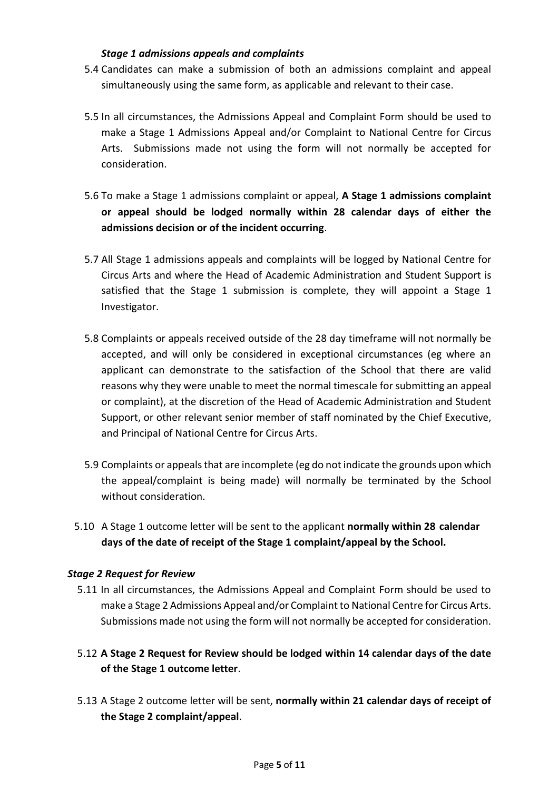#### *Stage 1 admissions appeals and complaints*

- 5.4 Candidates can make a submission of both an admissions complaint and appeal simultaneously using the same form, as applicable and relevant to their case.
- 5.5 In all circumstances, the Admissions Appeal and Complaint Form should be used to make a Stage 1 Admissions Appeal and/or Complaint to National Centre for Circus Arts. Submissions made not using the form will not normally be accepted for consideration.
- 5.6 To make a Stage 1 admissions complaint or appeal, **A Stage 1 admissions complaint or appeal should be lodged normally within 28 calendar days of either the admissions decision or of the incident occurring**.
- 5.7 All Stage 1 admissions appeals and complaints will be logged by National Centre for Circus Arts and where the Head of Academic Administration and Student Support is satisfied that the Stage 1 submission is complete, they will appoint a Stage 1 Investigator.
- 5.8 Complaints or appeals received outside of the 28 day timeframe will not normally be accepted, and will only be considered in exceptional circumstances (eg where an applicant can demonstrate to the satisfaction of the School that there are valid reasons why they were unable to meet the normal timescale for submitting an appeal or complaint), at the discretion of the Head of Academic Administration and Student Support, or other relevant senior member of staff nominated by the Chief Executive, and Principal of National Centre for Circus Arts.
- 5.9 Complaints or appeals that are incomplete (eg do not indicate the grounds upon which the appeal/complaint is being made) will normally be terminated by the School without consideration.
- 5.10 A Stage 1 outcome letter will be sent to the applicant **normally within 28 calendar days of the date of receipt of the Stage 1 complaint/appeal by the School.**

## *Stage 2 Request for Review*

- 5.11 In all circumstances, the Admissions Appeal and Complaint Form should be used to make a Stage 2 Admissions Appeal and/or Complaint to National Centre for Circus Arts. Submissions made not using the form will not normally be accepted for consideration.
- 5.12 **A Stage 2 Request for Review should be lodged within 14 calendar days of the date of the Stage 1 outcome letter**.
- 5.13 A Stage 2 outcome letter will be sent, **normally within 21 calendar days of receipt of the Stage 2 complaint/appeal**.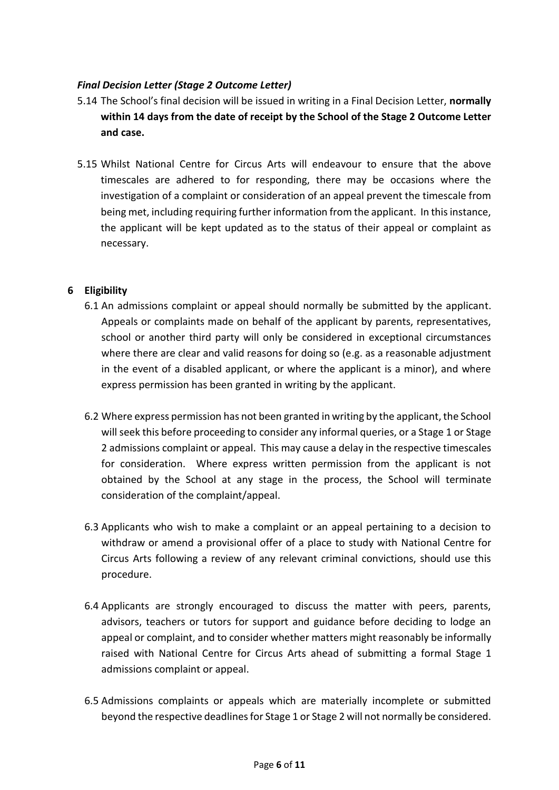#### *Final Decision Letter (Stage 2 Outcome Letter)*

- 5.14 The School's final decision will be issued in writing in a Final Decision Letter, **normally within 14 days from the date of receipt by the School of the Stage 2 Outcome Letter and case.**
- 5.15 Whilst National Centre for Circus Arts will endeavour to ensure that the above timescales are adhered to for responding, there may be occasions where the investigation of a complaint or consideration of an appeal prevent the timescale from being met, including requiring further information from the applicant. In this instance, the applicant will be kept updated as to the status of their appeal or complaint as necessary.

#### **6 Eligibility**

- 6.1 An admissions complaint or appeal should normally be submitted by the applicant. Appeals or complaints made on behalf of the applicant by parents, representatives, school or another third party will only be considered in exceptional circumstances where there are clear and valid reasons for doing so (e.g. as a reasonable adjustment in the event of a disabled applicant, or where the applicant is a minor), and where express permission has been granted in writing by the applicant.
- 6.2 Where express permission has not been granted in writing by the applicant, the School will seek this before proceeding to consider any informal queries, or a Stage 1 or Stage 2 admissions complaint or appeal. This may cause a delay in the respective timescales for consideration. Where express written permission from the applicant is not obtained by the School at any stage in the process, the School will terminate consideration of the complaint/appeal.
- 6.3 Applicants who wish to make a complaint or an appeal pertaining to a decision to withdraw or amend a provisional offer of a place to study with National Centre for Circus Arts following a review of any relevant criminal convictions, should use this procedure.
- 6.4 Applicants are strongly encouraged to discuss the matter with peers, parents, advisors, teachers or tutors for support and guidance before deciding to lodge an appeal or complaint, and to consider whether matters might reasonably be informally raised with National Centre for Circus Arts ahead of submitting a formal Stage 1 admissions complaint or appeal.
- 6.5 Admissions complaints or appeals which are materially incomplete or submitted beyond the respective deadlines for Stage 1 or Stage 2 will not normally be considered.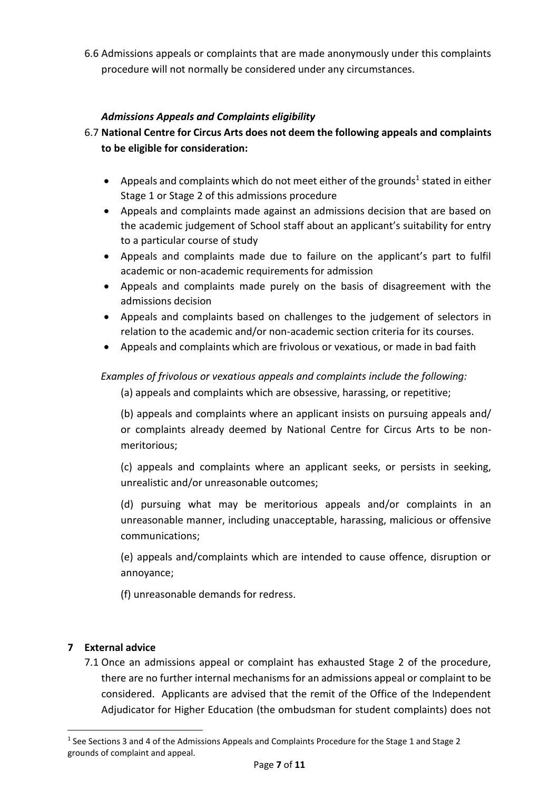6.6 Admissions appeals or complaints that are made anonymously under this complaints procedure will not normally be considered under any circumstances.

# *Admissions Appeals and Complaints eligibility*

- 6.7 **National Centre for Circus Arts does not deem the following appeals and complaints to be eligible for consideration:**
	- Appeals and complaints which do not meet either of the grounds<sup>1</sup> stated in either Stage 1 or Stage 2 of this admissions procedure
	- Appeals and complaints made against an admissions decision that are based on the academic judgement of School staff about an applicant's suitability for entry to a particular course of study
	- Appeals and complaints made due to failure on the applicant's part to fulfil academic or non-academic requirements for admission
	- Appeals and complaints made purely on the basis of disagreement with the admissions decision
	- Appeals and complaints based on challenges to the judgement of selectors in relation to the academic and/or non-academic section criteria for its courses.
	- Appeals and complaints which are frivolous or vexatious, or made in bad faith

# *Examples of frivolous or vexatious appeals and complaints include the following:*

(a) appeals and complaints which are obsessive, harassing, or repetitive;

(b) appeals and complaints where an applicant insists on pursuing appeals and/ or complaints already deemed by National Centre for Circus Arts to be nonmeritorious;

(c) appeals and complaints where an applicant seeks, or persists in seeking, unrealistic and/or unreasonable outcomes;

(d) pursuing what may be meritorious appeals and/or complaints in an unreasonable manner, including unacceptable, harassing, malicious or offensive communications;

(e) appeals and/complaints which are intended to cause offence, disruption or annoyance;

(f) unreasonable demands for redress.

## **7 External advice**

**.** 

7.1 Once an admissions appeal or complaint has exhausted Stage 2 of the procedure, there are no further internal mechanisms for an admissions appeal or complaint to be considered. Applicants are advised that the remit of the Office of the Independent Adjudicator for Higher Education (the ombudsman for student complaints) does not

<sup>&</sup>lt;sup>1</sup> See Sections 3 and 4 of the Admissions Appeals and Complaints Procedure for the Stage 1 and Stage 2 grounds of complaint and appeal.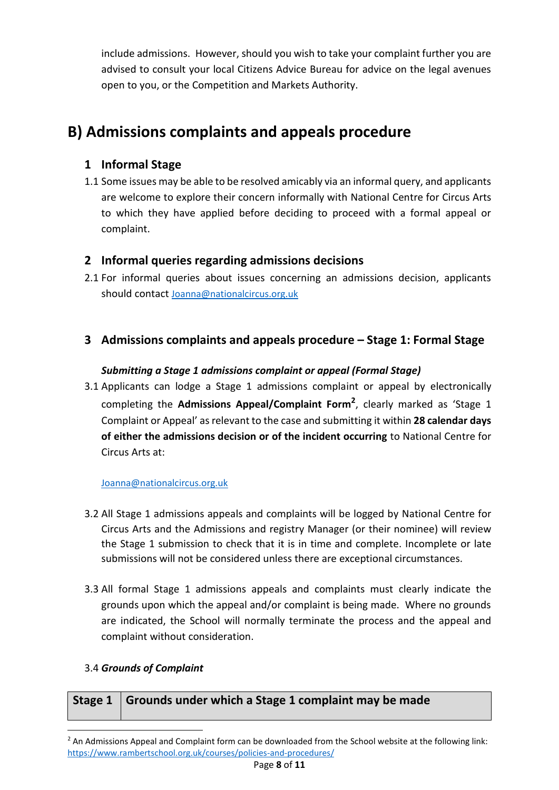include admissions. However, should you wish to take your complaint further you are advised to consult your local Citizens Advice Bureau for advice on the legal avenues open to you, or the Competition and Markets Authority.

# **B) Admissions complaints and appeals procedure**

# **1 Informal Stage**

1.1 Some issues may be able to be resolved amicably via an informal query, and applicants are welcome to explore their concern informally with National Centre for Circus Arts to which they have applied before deciding to proceed with a formal appeal or complaint.

# **2 Informal queries regarding admissions decisions**

2.1 For informal queries about issues concerning an admissions decision, applicants should contact [Joanna@nationalcircus.org.uk](mailto:Joanna@nationalcircus.org.uk)

# **3 Admissions complaints and appeals procedure – Stage 1: Formal Stage**

# *Submitting a Stage 1 admissions complaint or appeal (Formal Stage)*

3.1 Applicants can lodge a Stage 1 admissions complaint or appeal by electronically completing the **Admissions Appeal/Complaint Form<sup>2</sup>** , clearly marked as 'Stage 1 Complaint or Appeal' as relevant to the case and submitting it within **28 calendar days of either the admissions decision or of the incident occurring** to National Centre for Circus Arts at:

## [Joanna@nationalcircus.org.uk](mailto:Joanna@nationalcircus.org.uk)

- 3.2 All Stage 1 admissions appeals and complaints will be logged by National Centre for Circus Arts and the Admissions and registry Manager (or their nominee) will review the Stage 1 submission to check that it is in time and complete. Incomplete or late submissions will not be considered unless there are exceptional circumstances.
- 3.3 All formal Stage 1 admissions appeals and complaints must clearly indicate the grounds upon which the appeal and/or complaint is being made. Where no grounds are indicated, the School will normally terminate the process and the appeal and complaint without consideration.

## 3.4 *Grounds of Complaint*

**.** 

|  | Stage 1   Grounds under which a Stage 1 complaint may be made |
|--|---------------------------------------------------------------|
|--|---------------------------------------------------------------|

<sup>&</sup>lt;sup>2</sup> An Admissions Appeal and Complaint form can be downloaded from the School website at the following link: <https://www.rambertschool.org.uk/courses/policies-and-procedures/>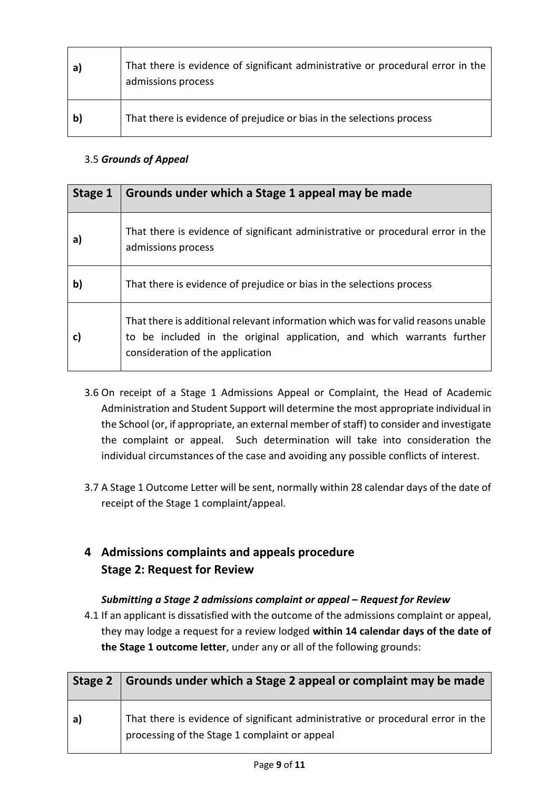| a            | That there is evidence of significant administrative or procedural error in the<br>admissions process |
|--------------|-------------------------------------------------------------------------------------------------------|
| $\mathbf{b}$ | That there is evidence of prejudice or bias in the selections process                                 |

# 3.5 *Grounds of Appeal*

| Stage 1      | Grounds under which a Stage 1 appeal may be made                                                                                                                                               |
|--------------|------------------------------------------------------------------------------------------------------------------------------------------------------------------------------------------------|
| a)           | That there is evidence of significant administrative or procedural error in the<br>admissions process                                                                                          |
| $\mathbf{b}$ | That there is evidence of prejudice or bias in the selections process                                                                                                                          |
| $\mathbf{C}$ | That there is additional relevant information which was for valid reasons unable<br>to be included in the original application, and which warrants further<br>consideration of the application |

- 3.6 On receipt of a Stage 1 Admissions Appeal or Complaint, the Head of Academic Administration and Student Support will determine the most appropriate individual in the School (or, if appropriate, an external member of staff) to consider and investigate the complaint or appeal. Such determination will take into consideration the individual circumstances of the case and avoiding any possible conflicts of interest.
- 3.7 A Stage 1 Outcome Letter will be sent, normally within 28 calendar days of the date of receipt of the Stage 1 complaint/appeal.

# **4 Admissions complaints and appeals procedure Stage 2: Request for Review**

# *Submitting a Stage 2 admissions complaint or appeal – Request for Review*

4.1 If an applicant is dissatisfied with the outcome of the admissions complaint or appeal, they may lodge a request for a review lodged **within 14 calendar days of the date of the Stage 1 outcome letter**, under any or all of the following grounds:

| Stage 2 | Grounds under which a Stage 2 appeal or complaint may be made                                                                    |
|---------|----------------------------------------------------------------------------------------------------------------------------------|
| a       | That there is evidence of significant administrative or procedural error in the<br>processing of the Stage 1 complaint or appeal |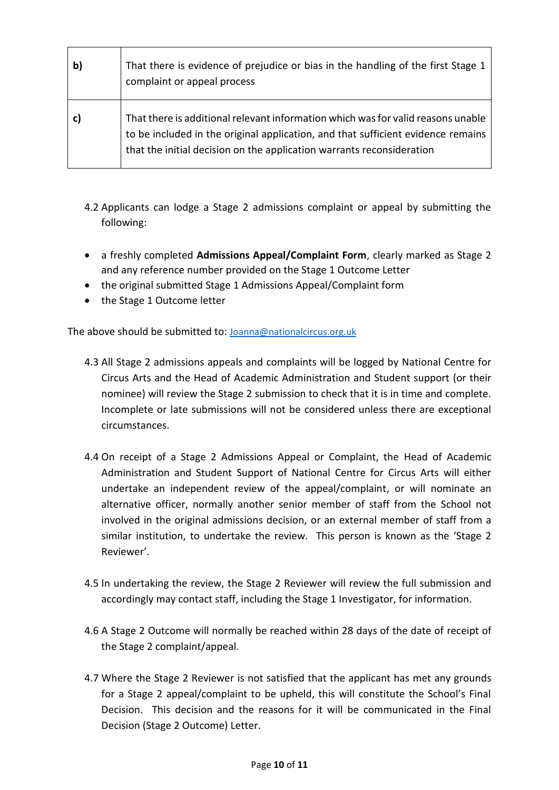| That there is evidence of prejudice or bias in the handling of the first Stage 1<br>complaint or appeal process                                                                                                                               |
|-----------------------------------------------------------------------------------------------------------------------------------------------------------------------------------------------------------------------------------------------|
| That there is additional relevant information which was for valid reasons unable<br>to be included in the original application, and that sufficient evidence remains<br>that the initial decision on the application warrants reconsideration |

- 4.2 Applicants can lodge a Stage 2 admissions complaint or appeal by submitting the following:
- a freshly completed **Admissions Appeal/Complaint Form**, clearly marked as Stage 2 and any reference number provided on the Stage 1 Outcome Letter
- the original submitted Stage 1 Admissions Appeal/Complaint form
- the Stage 1 Outcome letter

The above should be submitted to: [Joanna@nationalcircus.org.uk](mailto:Joanna@nationalcircus.org.uk)

- 4.3 All Stage 2 admissions appeals and complaints will be logged by National Centre for Circus Arts and the Head of Academic Administration and Student support (or their nominee) will review the Stage 2 submission to check that it is in time and complete. Incomplete or late submissions will not be considered unless there are exceptional circumstances.
- 4.4 On receipt of a Stage 2 Admissions Appeal or Complaint, the Head of Academic Administration and Student Support of National Centre for Circus Arts will either undertake an independent review of the appeal/complaint, or will nominate an alternative officer, normally another senior member of staff from the School not involved in the original admissions decision, or an external member of staff from a similar institution, to undertake the review. This person is known as the 'Stage 2 Reviewer'.
- 4.5 In undertaking the review, the Stage 2 Reviewer will review the full submission and accordingly may contact staff, including the Stage 1 Investigator, for information.
- 4.6 A Stage 2 Outcome will normally be reached within 28 days of the date of receipt of the Stage 2 complaint/appeal.
- 4.7 Where the Stage 2 Reviewer is not satisfied that the applicant has met any grounds for a Stage 2 appeal/complaint to be upheld, this will constitute the School's Final Decision. This decision and the reasons for it will be communicated in the Final Decision (Stage 2 Outcome) Letter.